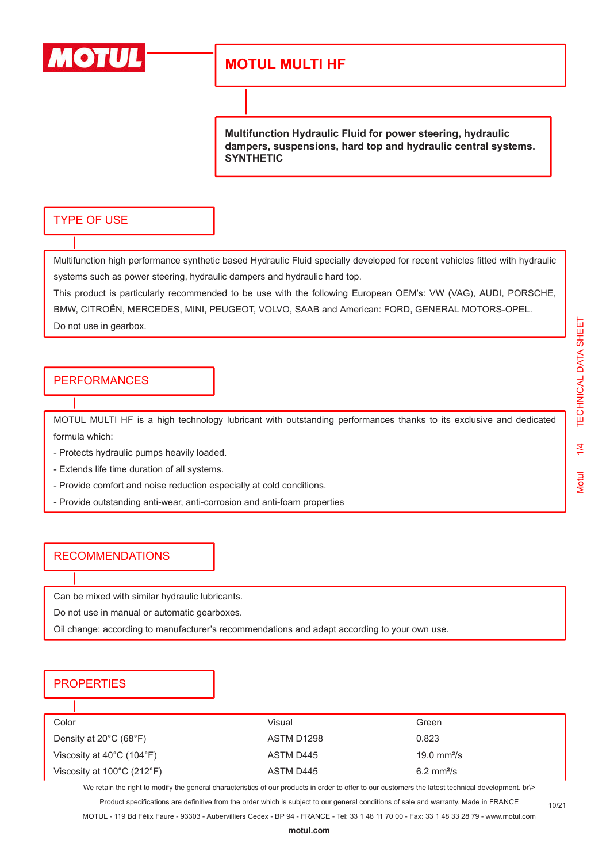

**Multifunction Hydraulic Fluid for power steering, hydraulic dampers, suspensions, hard top and hydraulic central systems. SYNTHETIC** 

### TYPE OF USE

Multifunction high performance synthetic based Hydraulic Fluid specially developed for recent vehicles fitted with hydraulic systems such as power steering, hydraulic dampers and hydraulic hard top.

This product is particularly recommended to be use with the following European OEM's: VW (VAG), AUDI, PORSCHE, BMW, CITROËN, MERCEDES, MINI, PEUGEOT, VOLVO, SAAB and American: FORD, GENERAL MOTORS-OPEL. Do not use in gearbox.

### PERFORMANCES

MOTUL MULTI HF is a high technology lubricant with outstanding performances thanks to its exclusive and dedicated formula which:

- Protects hydraulic pumps heavily loaded.
- Extends life time duration of all systems.
- Provide comfort and noise reduction especially at cold conditions.
- Provide outstanding anti-wear, anti-corrosion and anti-foam properties

### RECOMMENDATIONS

Can be mixed with similar hydraulic lubricants.

Do not use in manual or automatic gearboxes.

Oil change: according to manufacturer's recommendations and adapt according to your own use.

### **PROPERTIES**

| Color                                           | Visual     | Green                   |
|-------------------------------------------------|------------|-------------------------|
| Density at $20^{\circ}$ C (68 $^{\circ}$ F)     | ASTM D1298 | 0.823                   |
| Viscosity at $40^{\circ}$ C (104 $^{\circ}$ F)  | ASTM D445  | 19.0 mm <sup>2</sup> /s |
| Viscosity at $100^{\circ}$ C (212 $^{\circ}$ F) | ASTM D445  | $6.2 \text{ mm}^2$ /s   |

We retain the right to modify the general characteristics of our products in order to offer to our customers the latest technical development. br\>

Product specifications are definitive from the order which is subject to our general conditions of sale and warranty. Made in FRANCE

10/21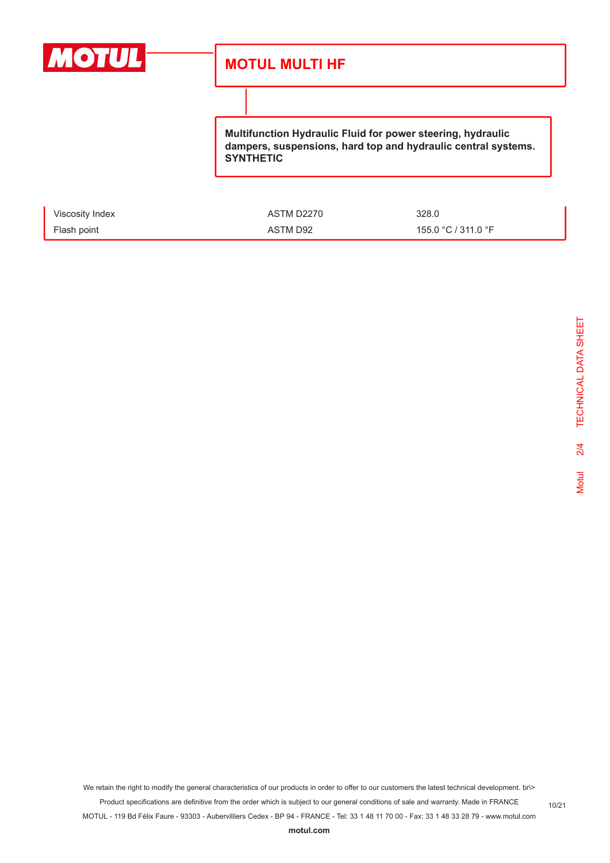

**Multifunction Hydraulic Fluid for power steering, hydraulic dampers, suspensions, hard top and hydraulic central systems. SYNTHETIC** 

| Viscosity Index | ASTM D2270 | 328.0               |
|-----------------|------------|---------------------|
| Flash point     | ASTM D92   | 155.0 °C / 311.0 °F |

We retain the right to modify the general characteristics of our products in order to offer to our customers the latest technical development. br\> Product specifications are definitive from the order which is subject to our general conditions of sale and warranty. Made in FRANCE

MOTUL - 119 Bd Félix Faure - 93303 - Aubervilliers Cedex - BP 94 - FRANCE - Tel: 33 1 48 11 70 00 - Fax: 33 1 48 33 28 79 - www.motul.com

**[motul.com](http://www.motul.com)**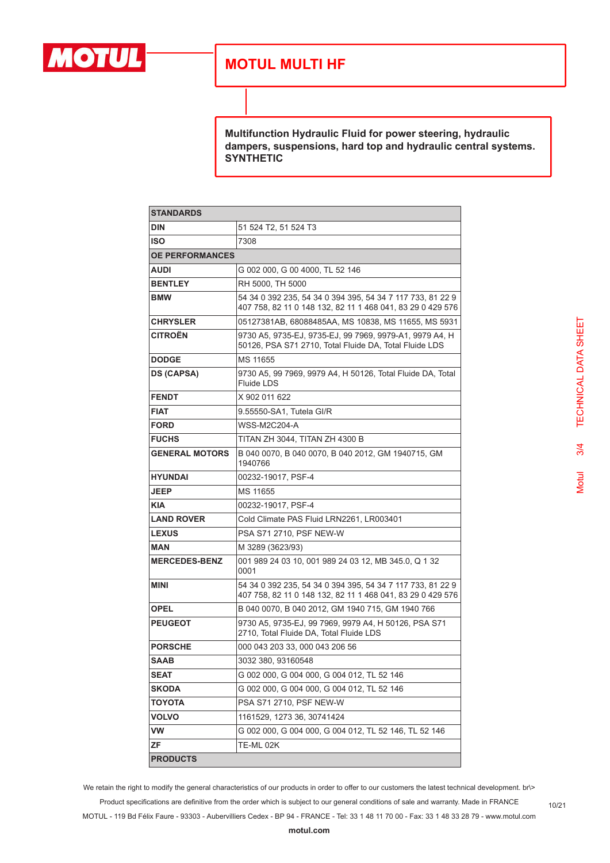

**Multifunction Hydraulic Fluid for power steering, hydraulic dampers, suspensions, hard top and hydraulic central systems. SYNTHETIC** 

| <b>STANDARDS</b>       |                                                                                                                          |  |
|------------------------|--------------------------------------------------------------------------------------------------------------------------|--|
| <b>DIN</b>             | 51 524 T2, 51 524 T3                                                                                                     |  |
| <b>ISO</b>             | 7308                                                                                                                     |  |
| <b>OE PERFORMANCES</b> |                                                                                                                          |  |
| <b>AUDI</b>            | G 002 000, G 00 4000, TL 52 146                                                                                          |  |
| <b>BENTLEY</b>         | RH 5000. TH 5000                                                                                                         |  |
| <b>BMW</b>             | 54 34 0 392 235, 54 34 0 394 395, 54 34 7 117 733, 81 22 9<br>407 758, 82 11 0 148 132, 82 11 1 468 041, 83 29 0 429 576 |  |
| <b>CHRYSLER</b>        | 05127381AB, 68088485AA, MS 10838, MS 11655, MS 5931                                                                      |  |
| <b>CITROËN</b>         | 9730 A5, 9735-EJ, 9735-EJ, 99 7969, 9979-A1, 9979 A4, H<br>50126, PSA S71 2710, Total Fluide DA, Total Fluide LDS        |  |
| <b>DODGE</b>           | MS 11655                                                                                                                 |  |
| <b>DS (CAPSA)</b>      | 9730 A5, 99 7969, 9979 A4, H 50126, Total Fluide DA, Total<br><b>Fluide LDS</b>                                          |  |
| <b>FENDT</b>           | X 902 011 622                                                                                                            |  |
| <b>FIAT</b>            | 9.55550-SA1. Tutela GI/R                                                                                                 |  |
| <b>FORD</b>            | <b>WSS-M2C204-A</b>                                                                                                      |  |
| <b>FUCHS</b>           | TITAN ZH 3044, TITAN ZH 4300 B                                                                                           |  |
| <b>GENERAL MOTORS</b>  | B 040 0070, B 040 0070, B 040 2012, GM 1940715, GM<br>1940766                                                            |  |
| <b>HYUNDAI</b>         | 00232-19017, PSF-4                                                                                                       |  |
| <b>JEEP</b>            | MS 11655                                                                                                                 |  |
| <b>KIA</b>             | 00232-19017, PSF-4                                                                                                       |  |
| <b>LAND ROVER</b>      | Cold Climate PAS Fluid LRN2261, LR003401                                                                                 |  |
| <b>LEXUS</b>           | PSA S71 2710, PSF NEW-W                                                                                                  |  |
| MAN                    | M 3289 (3623/93)                                                                                                         |  |
| <b>MERCEDES-BENZ</b>   | 001 989 24 03 10, 001 989 24 03 12, MB 345.0, Q 1 32<br>0001                                                             |  |
| <b>MINI</b>            | 54 34 0 392 235, 54 34 0 394 395, 54 34 7 117 733, 81 22 9<br>407 758, 82 11 0 148 132, 82 11 1 468 041, 83 29 0 429 576 |  |
| <b>OPEL</b>            | B 040 0070, B 040 2012, GM 1940 715, GM 1940 766                                                                         |  |
| <b>PEUGEOT</b>         | 9730 A5, 9735-EJ, 99 7969, 9979 A4, H 50126, PSA S71<br>2710. Total Fluide DA. Total Fluide LDS                          |  |
| <b>PORSCHE</b>         | 000 043 203 33, 000 043 206 56                                                                                           |  |
| <b>SAAB</b>            | 3032 380, 93160548                                                                                                       |  |
| <b>SEAT</b>            | G 002 000, G 004 000, G 004 012, TL 52 146                                                                               |  |
| <b>SKODA</b>           | G 002 000, G 004 000, G 004 012, TL 52 146                                                                               |  |
| <b>TOYOTA</b>          | PSA S71 2710, PSF NEW-W                                                                                                  |  |
| <b>VOLVO</b>           | 1161529, 1273 36, 30741424                                                                                               |  |
| VW                     | G 002 000, G 004 000, G 004 012, TL 52 146, TL 52 146                                                                    |  |
| ΖF                     | TE-ML 02K                                                                                                                |  |
| <b>PRODUCTS</b>        |                                                                                                                          |  |

TECHNICAL DATA SHEET Motul 3/4 TECHNICAL DATA SHEET $3/4$ **Motul** 

We retain the right to modify the general characteristics of our products in order to offer to our customers the latest technical development. br\> Product specifications are definitive from the order which is subject to our general conditions of sale and warranty. Made in FRANCE